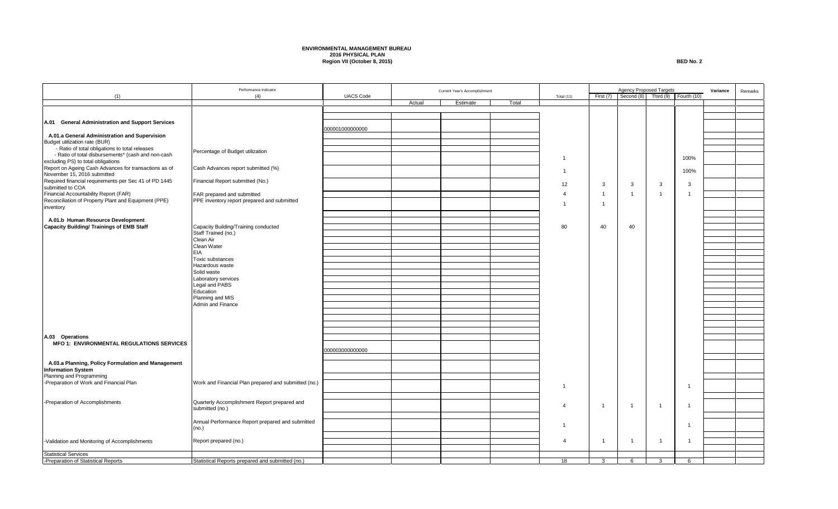## **ENVIRONMENTAL MANAGEMENT BUREAU 2016 PHYSICAL PLAN Region VII (October 8, 2015) BED No. 2**

|                                                                           | Performance Indicator                                                     |                  |        | Current Year's Accomplishment |       |                | <b>Agency Proposed Targets</b> |                |                | Variance              | Remarks |  |
|---------------------------------------------------------------------------|---------------------------------------------------------------------------|------------------|--------|-------------------------------|-------|----------------|--------------------------------|----------------|----------------|-----------------------|---------|--|
| (1)                                                                       | (4)                                                                       | <b>UACS Code</b> |        |                               |       | Total (11)     | First (7)                      | Second (8)     |                | Third (9) Fourth (10) |         |  |
|                                                                           |                                                                           |                  | Actual | Estimate                      | Total |                |                                |                |                |                       |         |  |
|                                                                           |                                                                           |                  |        |                               |       |                |                                |                |                |                       |         |  |
| A.01 General Administration and Support Services                          |                                                                           |                  |        |                               |       |                |                                |                |                |                       |         |  |
|                                                                           |                                                                           | 000001000000000  |        |                               |       |                |                                |                |                |                       |         |  |
| A.01.a General Administration and Supervision                             |                                                                           |                  |        |                               |       |                |                                |                |                |                       |         |  |
| Budget utilization rate (BUR)                                             |                                                                           |                  |        |                               |       |                |                                |                |                |                       |         |  |
| - Ratio of total obligations to total releases                            | Percentage of Budget utilization                                          |                  |        |                               |       |                |                                |                |                |                       |         |  |
| - Ratio of total disbursements* (cash and non-cash                        |                                                                           |                  |        |                               |       | $\overline{1}$ |                                |                |                | 100%                  |         |  |
| excluding PS) to total obligations                                        |                                                                           |                  |        |                               |       |                |                                |                |                |                       |         |  |
| Report on Ageing Cash Advances for transactions as of                     | Cash Advances report submitted (%)                                        |                  |        |                               |       | $\overline{1}$ |                                |                |                | 100%                  |         |  |
| November 15, 2016 submitted                                               |                                                                           |                  |        |                               |       |                |                                |                |                |                       |         |  |
| Required financial requirements per Sec 41 of PD 1445<br>submitted to COA | Financial Report submitted (No.)                                          |                  |        |                               |       | 12             | $\mathbf{3}$                   | 3              | 3              | 3                     |         |  |
| Financial Accountability Report (FAR)                                     |                                                                           |                  |        |                               |       |                | $\overline{1}$                 | $\overline{1}$ | $\overline{1}$ | $\overline{1}$        |         |  |
| Reconciliation of Property Plant and Equipment (PPE)                      | FAR prepared and submitted<br>PPE inventory report prepared and submitted |                  |        |                               |       |                |                                |                |                |                       |         |  |
| inventory                                                                 |                                                                           |                  |        |                               |       | $\mathbf{1}$   | $\overline{1}$                 |                |                |                       |         |  |
|                                                                           |                                                                           |                  |        |                               |       |                |                                |                |                |                       |         |  |
| A.01.b Human Resource Development                                         |                                                                           |                  |        |                               |       |                |                                |                |                |                       |         |  |
| <b>Capacity Building/ Trainings of EMB Staff</b>                          | Capacity Building/Training conducted                                      |                  |        |                               |       | 80             | 40                             | 40             |                |                       |         |  |
|                                                                           | Staff Trained (no.)                                                       |                  |        |                               |       |                |                                |                |                |                       |         |  |
|                                                                           | Clean Air                                                                 |                  |        |                               |       |                |                                |                |                |                       |         |  |
|                                                                           | Clean Water                                                               |                  |        |                               |       |                |                                |                |                |                       |         |  |
|                                                                           | <b>EIA</b>                                                                |                  |        |                               |       |                |                                |                |                |                       |         |  |
|                                                                           | Toxic substances                                                          |                  |        |                               |       |                |                                |                |                |                       |         |  |
|                                                                           | Hazardous waste                                                           |                  |        |                               |       |                |                                |                |                |                       |         |  |
|                                                                           | Solid waste                                                               |                  |        |                               |       |                |                                |                |                |                       |         |  |
|                                                                           | Laboratory services                                                       |                  |        |                               |       |                |                                |                |                |                       |         |  |
|                                                                           | Legal and PABS<br>Education                                               |                  |        |                               |       |                |                                |                |                |                       |         |  |
|                                                                           | Planning and MIS                                                          |                  |        |                               |       |                |                                |                |                |                       |         |  |
|                                                                           | Admin and Finance                                                         |                  |        |                               |       |                |                                |                |                |                       |         |  |
|                                                                           |                                                                           |                  |        |                               |       |                |                                |                |                |                       |         |  |
|                                                                           |                                                                           |                  |        |                               |       |                |                                |                |                |                       |         |  |
|                                                                           |                                                                           |                  |        |                               |       |                |                                |                |                |                       |         |  |
|                                                                           |                                                                           |                  |        |                               |       |                |                                |                |                |                       |         |  |
| A.03 Operations                                                           |                                                                           |                  |        |                               |       |                |                                |                |                |                       |         |  |
| <b>MFO 1: ENVIRONMENTAL REGULATIONS SERVICES</b>                          |                                                                           |                  |        |                               |       |                |                                |                |                |                       |         |  |
|                                                                           |                                                                           | 000003000000000  |        |                               |       |                |                                |                |                |                       |         |  |
|                                                                           |                                                                           |                  |        |                               |       |                |                                |                |                |                       |         |  |
| A.03.a Planning, Policy Formulation and Management                        |                                                                           |                  |        |                               |       |                |                                |                |                |                       |         |  |
| <b>Information System</b><br>Planning and Programming                     |                                                                           |                  |        |                               |       |                |                                |                |                |                       |         |  |
| -Preparation of Work and Financial Plan                                   | Work and Financial Plan prepared and submitted (no.)                      |                  |        |                               |       |                |                                |                |                |                       |         |  |
|                                                                           |                                                                           |                  |        |                               |       | $\overline{1}$ |                                |                |                | $\overline{1}$        |         |  |
|                                                                           |                                                                           |                  |        |                               |       |                |                                |                |                |                       |         |  |
| -Preparation of Accomplishments                                           | Quarterly Accomplishment Report prepared and                              |                  |        |                               |       |                |                                |                |                |                       |         |  |
|                                                                           | submitted (no.)                                                           |                  |        |                               |       | $\overline{4}$ | $\overline{1}$                 | $\overline{1}$ | $\overline{1}$ | $\mathbf 1$           |         |  |
|                                                                           |                                                                           |                  |        |                               |       |                |                                |                |                |                       |         |  |
|                                                                           | Annual Performance Report prepared and submitted                          |                  |        |                               |       | $\overline{1}$ |                                |                |                | $\overline{1}$        |         |  |
|                                                                           | (no.)                                                                     |                  |        |                               |       |                |                                |                |                |                       |         |  |
|                                                                           |                                                                           |                  |        |                               |       |                |                                |                |                |                       |         |  |
| -Validation and Monitoring of Accomplishments                             | Report prepared (no.)                                                     |                  |        |                               |       | $\overline{4}$ | $\overline{1}$                 | $\overline{1}$ | $\overline{1}$ | $\overline{1}$        |         |  |
|                                                                           |                                                                           |                  |        |                               |       |                |                                |                |                |                       |         |  |
| <b>Statistical Services</b>                                               |                                                                           |                  |        |                               |       |                | $\mathbf{3}$                   |                |                |                       |         |  |
| -Preparation of Statistical Reports                                       | Statistical Reports prepared and submitted (no.)                          |                  |        |                               |       | 18             |                                | 6              | 3              | 6                     |         |  |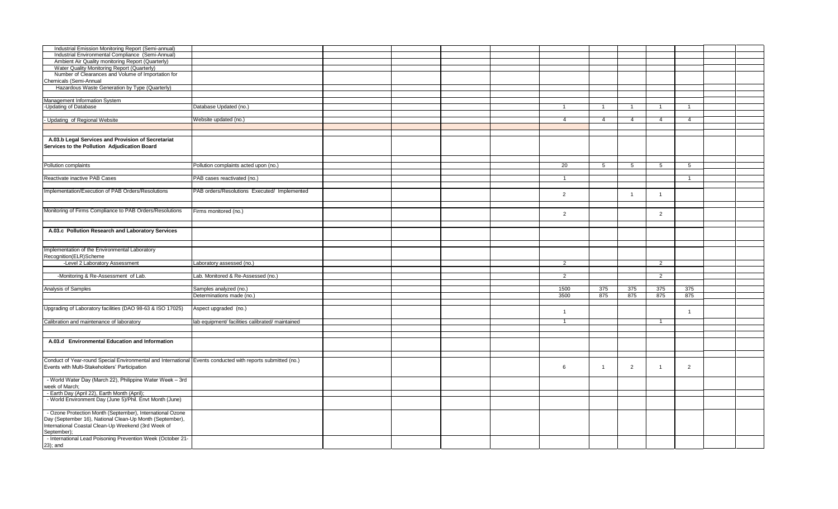| Industrial Emission Monitoring Report (Semi-annual)                                                         |                                                  |  |  |                |                |                |                |                      |  |
|-------------------------------------------------------------------------------------------------------------|--------------------------------------------------|--|--|----------------|----------------|----------------|----------------|----------------------|--|
| Industrial Environmental Compliance (Semi-Annual)                                                           |                                                  |  |  |                |                |                |                |                      |  |
| Ambient Air Quality monitoring Report (Quarterly)                                                           |                                                  |  |  |                |                |                |                |                      |  |
| Water Quality Monitoring Report (Quarterly)                                                                 |                                                  |  |  |                |                |                |                |                      |  |
| Number of Clearances and Volume of Importation for<br>Chemicals (Semi-Annual                                |                                                  |  |  |                |                |                |                |                      |  |
| Hazardous Waste Generation by Type (Quarterly)                                                              |                                                  |  |  |                |                |                |                |                      |  |
|                                                                                                             |                                                  |  |  |                |                |                |                |                      |  |
| Management Information System                                                                               |                                                  |  |  |                |                |                |                |                      |  |
| -Updating of Database                                                                                       | Database Updated (no.)                           |  |  | $\overline{1}$ | $\overline{1}$ | $\overline{1}$ | $\overline{1}$ | $\overline{1}$       |  |
|                                                                                                             |                                                  |  |  |                |                |                |                |                      |  |
| Updating of Regional Website                                                                                | Website updated (no.)                            |  |  | $\overline{4}$ | $\overline{4}$ | $\overline{4}$ | $\overline{4}$ | $\overline{4}$       |  |
|                                                                                                             |                                                  |  |  |                |                |                |                |                      |  |
|                                                                                                             |                                                  |  |  |                |                |                |                |                      |  |
| A.03.b Legal Services and Provision of Secretariat<br>Services to the Pollution Adjudication Board          |                                                  |  |  |                |                |                |                |                      |  |
| Pollution complaints                                                                                        | Pollution complaints acted upon (no.)            |  |  | 20             | 5              | 5              | 5              | 5                    |  |
|                                                                                                             |                                                  |  |  |                |                |                |                |                      |  |
| Reactivate inactive PAB Cases                                                                               | PAB cases reactivated (no.)                      |  |  | $\overline{1}$ |                |                |                | $\overline{1}$       |  |
|                                                                                                             |                                                  |  |  |                |                |                |                |                      |  |
| Implementation/Execution of PAB Orders/Resolutions                                                          | PAB orders/Resolutions Executed/ Implemented     |  |  |                |                |                |                |                      |  |
|                                                                                                             |                                                  |  |  | $\overline{2}$ |                | $\overline{1}$ | -1             |                      |  |
|                                                                                                             |                                                  |  |  |                |                |                |                |                      |  |
| Monitoring of Firms Compliance to PAB Orders/Resolutions                                                    | Firms monitored (no.)                            |  |  |                |                |                |                |                      |  |
|                                                                                                             |                                                  |  |  | $\overline{2}$ |                |                | $\overline{2}$ |                      |  |
|                                                                                                             |                                                  |  |  |                |                |                |                |                      |  |
| A.03.c Pollution Research and Laboratory Services                                                           |                                                  |  |  |                |                |                |                |                      |  |
|                                                                                                             |                                                  |  |  |                |                |                |                |                      |  |
| Implementation of the Environmental Laboratory                                                              |                                                  |  |  |                |                |                |                |                      |  |
| Recognition(ELR)Scheme                                                                                      |                                                  |  |  |                |                |                |                |                      |  |
| -Level 2 Laboratory Assessment                                                                              | Laboratory assessed (no.)                        |  |  | $\overline{2}$ |                |                | $\overline{2}$ |                      |  |
|                                                                                                             |                                                  |  |  |                |                |                |                |                      |  |
| -Monitoring & Re-Assessment of Lab.                                                                         | Lab. Monitored & Re-Assessed (no.)               |  |  | $\overline{2}$ |                |                | $\overline{2}$ |                      |  |
|                                                                                                             |                                                  |  |  |                |                |                |                |                      |  |
| Analysis of Samples                                                                                         | Samples analyzed (no.)                           |  |  | 1500           | 375            | 375            | 375            | 375                  |  |
|                                                                                                             | Determinations made (no.)                        |  |  | 3500           | 875            | 875            | 875            | 875                  |  |
| Upgrading of Laboratory facilities (DAO 98-63 & ISO 17025)                                                  | Aspect upgraded (no.)                            |  |  | $\overline{1}$ |                |                |                | $\blacktriangleleft$ |  |
| Calibration and maintenance of laboratory                                                                   | lab equipment/ facilities calibrated/ maintained |  |  | $\overline{1}$ |                |                | $\overline{1}$ |                      |  |
|                                                                                                             |                                                  |  |  |                |                |                |                |                      |  |
|                                                                                                             |                                                  |  |  |                |                |                |                |                      |  |
| A.03.d Environmental Education and Information                                                              |                                                  |  |  |                |                |                |                |                      |  |
|                                                                                                             |                                                  |  |  |                |                |                |                |                      |  |
|                                                                                                             |                                                  |  |  |                |                |                |                |                      |  |
| Conduct of Year-round Special Environmental and International Events conducted with reports submitted (no.) |                                                  |  |  |                |                |                |                |                      |  |
| Events with Multi-Stakeholders' Participation                                                               |                                                  |  |  | 6              | $\overline{1}$ | 2              | $\overline{1}$ | 2                    |  |
| - World Water Day (March 22), Philippine Water Week - 3rd                                                   |                                                  |  |  |                |                |                |                |                      |  |
| week of March;                                                                                              |                                                  |  |  |                |                |                |                |                      |  |
| - Earth Day (April 22), Earth Month (April);                                                                |                                                  |  |  |                |                |                |                |                      |  |
| - World Environment Day (June 5)/Phil. Envt Month (June)                                                    |                                                  |  |  |                |                |                |                |                      |  |
|                                                                                                             |                                                  |  |  |                |                |                |                |                      |  |
| - Ozone Protection Month (September), International Ozone                                                   |                                                  |  |  |                |                |                |                |                      |  |
| Day (September 16), National Clean-Up Month (September),                                                    |                                                  |  |  |                |                |                |                |                      |  |
| International Coastal Clean-Up Weekend (3rd Week of                                                         |                                                  |  |  |                |                |                |                |                      |  |
| September);                                                                                                 |                                                  |  |  |                |                |                |                |                      |  |
| - International Lead Poisoning Prevention Week (October 21-                                                 |                                                  |  |  |                |                |                |                |                      |  |
| 23); and                                                                                                    |                                                  |  |  |                |                |                |                |                      |  |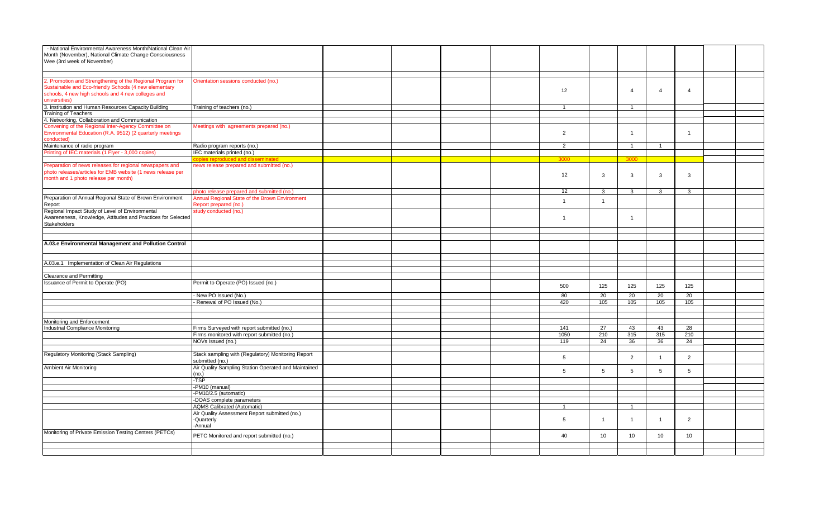| - National Environmental Awareness Month/National Clean Air<br>Month (November), National Climate Change Consciousness<br>Wee (3rd week of November)                                        |                                                                                           |  |  |                 |                 |                |                |                        |  |
|---------------------------------------------------------------------------------------------------------------------------------------------------------------------------------------------|-------------------------------------------------------------------------------------------|--|--|-----------------|-----------------|----------------|----------------|------------------------|--|
|                                                                                                                                                                                             |                                                                                           |  |  |                 |                 |                |                |                        |  |
| 2. Promotion and Strengthening of the Regional Program for<br>Sustainable and Eco-friendly Schools (4 new elementary<br>schools, 4 new high schools and 4 new colleges and<br>universities) | Orientation sessions conducted (no.)                                                      |  |  | 12              |                 | $\overline{4}$ | $\overline{4}$ | $\overline{4}$         |  |
| 3. Institution and Human Resources Capacity Building                                                                                                                                        | Training of teachers (no.)                                                                |  |  | $\mathbf{1}$    |                 | $\mathbf{1}$   |                |                        |  |
| <b>Training of Teachers</b>                                                                                                                                                                 |                                                                                           |  |  |                 |                 |                |                |                        |  |
| 4. Networking, Collaboration and Communication                                                                                                                                              |                                                                                           |  |  |                 |                 |                |                |                        |  |
| Convening of the Regional Inter-Agency Committee on<br>Environmental Education (R.A. 9512) (2 quarterly meetings<br>conducted)                                                              | Meetings with agreements prepared (no.)                                                   |  |  | $\overline{2}$  |                 | $\overline{1}$ |                | $\overline{1}$         |  |
| Maintenance of radio program                                                                                                                                                                | Radio program reports (no.)                                                               |  |  | 2               |                 | $\overline{1}$ | $\mathbf{1}$   |                        |  |
| Printing of IEC materials (1 Flyer - 3,000 copies)                                                                                                                                          | IEC materials printed (no.)                                                               |  |  |                 |                 |                |                |                        |  |
|                                                                                                                                                                                             | opies reproduced and disseminated                                                         |  |  | 3000            |                 | 3000           |                |                        |  |
| Preparation of news releases for regional newspapers and<br>photo releases/articles for EMB website (1 news release per<br>month and 1 photo release per month)                             | news release prepared and submitted (no.)                                                 |  |  | 12              | 3               | $\mathbf{3}$   | 3              | 3                      |  |
|                                                                                                                                                                                             | hoto release prepared and submitted (no.)                                                 |  |  | 12              | $\mathbf{3}$    | $\mathbf{3}$   | 3              | 3                      |  |
| Preparation of Annual Regional State of Brown Environment<br>Report                                                                                                                         | Annual Regional State of the Brown Environment<br>Report prepared (no.)                   |  |  | $\overline{1}$  | $\overline{1}$  |                |                |                        |  |
| Regional Impact Study of Level of Environmental<br>Awareneness, Knowledge, Attitudes and Practices for Selected<br><b>Stakeholders</b>                                                      | study conducted (no.)                                                                     |  |  | $\overline{1}$  |                 | $\mathbf{1}$   |                |                        |  |
|                                                                                                                                                                                             |                                                                                           |  |  |                 |                 |                |                |                        |  |
|                                                                                                                                                                                             |                                                                                           |  |  |                 |                 |                |                |                        |  |
| A.03.e Environmental Management and Pollution Control                                                                                                                                       |                                                                                           |  |  |                 |                 |                |                |                        |  |
| A.03.e.1 Implementation of Clean Air Regulations                                                                                                                                            |                                                                                           |  |  |                 |                 |                |                |                        |  |
| Clearance and Permitting                                                                                                                                                                    |                                                                                           |  |  |                 |                 |                |                |                        |  |
| Issuance of Permit to Operate (PO)                                                                                                                                                          | Permit to Operate (PO) Issued (no.)                                                       |  |  | 500             | 125             | 125            | 125            | 125                    |  |
|                                                                                                                                                                                             | New PO Issued (No.)                                                                       |  |  | 80              | 20              | 20             | 20             | 20                     |  |
|                                                                                                                                                                                             | Renewal of PO Issued (No.)                                                                |  |  | 420             | 105             | 105            | 105            | 105                    |  |
|                                                                                                                                                                                             |                                                                                           |  |  |                 |                 |                |                |                        |  |
|                                                                                                                                                                                             |                                                                                           |  |  |                 |                 |                |                |                        |  |
| Monitoring and Enforcement                                                                                                                                                                  |                                                                                           |  |  |                 |                 |                |                |                        |  |
| <b>Industrial Compliance Monitoring</b>                                                                                                                                                     | Firms Surveyed with report submitted (no.)<br>Firms monitored with report submitted (no.) |  |  | 141<br>1050     | 27<br>210       | 43<br>315      | 43<br>315      | $\overline{28}$<br>210 |  |
|                                                                                                                                                                                             | NOVs Issued (no.)                                                                         |  |  | 119             | 24              | 36             | 36             | 24                     |  |
|                                                                                                                                                                                             |                                                                                           |  |  |                 |                 |                |                |                        |  |
| Regulatory Monitoring (Stack Sampling)                                                                                                                                                      | Stack sampling with (Regulatory) Monitoring Report<br>submitted (no.)                     |  |  | $5\overline{5}$ |                 | 2              | $\overline{1}$ | 2                      |  |
| <b>Ambient Air Monitoring</b>                                                                                                                                                               | Air Quality Sampling Station Operated and Maintained<br>(no.)                             |  |  | 5               | $5\phantom{.0}$ | 5              | 5              | 5                      |  |
|                                                                                                                                                                                             | -TSP                                                                                      |  |  |                 |                 |                |                |                        |  |
|                                                                                                                                                                                             | -PM10 (manual)                                                                            |  |  |                 |                 |                |                |                        |  |
|                                                                                                                                                                                             | PM10/2.5 (automatic)                                                                      |  |  |                 |                 |                |                |                        |  |
|                                                                                                                                                                                             | DOAS complete parameters                                                                  |  |  |                 |                 |                |                |                        |  |
|                                                                                                                                                                                             | <b>AQMS Calibrated (Automatic)</b>                                                        |  |  | $\overline{1}$  |                 | $\overline{1}$ |                |                        |  |
|                                                                                                                                                                                             | Air Quality Assessment Report submitted (no.)<br>-Quarterly<br>-Annual                    |  |  | 5               | $\overline{1}$  | $\overline{1}$ | $\overline{1}$ | $\overline{2}$         |  |
| Monitoring of Private Emission Testing Centers (PETCs)                                                                                                                                      | PETC Monitored and report submitted (no.)                                                 |  |  | 40              | 10              | 10             | 10             | 10                     |  |
|                                                                                                                                                                                             |                                                                                           |  |  |                 |                 |                |                |                        |  |
|                                                                                                                                                                                             |                                                                                           |  |  |                 |                 |                |                |                        |  |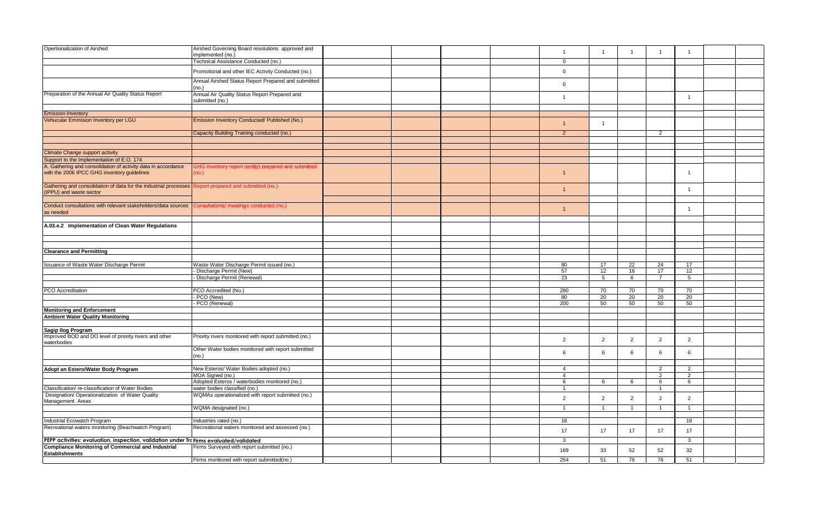| Opertionalization of Airshed                                                                          | Airshed Governing Board resolutions approved and                    |  |  | $\mathbf{1}$   | $\mathbf{1}$   | $\overline{1}$ | $\overline{1}$       | $\overline{1}$ |  |
|-------------------------------------------------------------------------------------------------------|---------------------------------------------------------------------|--|--|----------------|----------------|----------------|----------------------|----------------|--|
|                                                                                                       | implemented (no.)<br>Technical Assistance Conducted (no.)           |  |  | $\mathbf 0$    |                |                |                      |                |  |
|                                                                                                       |                                                                     |  |  |                |                |                |                      |                |  |
|                                                                                                       | Promotional and other IEC Activity Conducted (no.)                  |  |  | $\mathbf{0}$   |                |                |                      |                |  |
|                                                                                                       | Annual Airshed Status Report Prepared and submitted<br>(no.)        |  |  | $\,0\,$        |                |                |                      |                |  |
| Preparation of the Annual Air Quality Status Report                                                   | Annual Air Quality Status Report Prepared and                       |  |  | $\overline{1}$ |                |                |                      | $\overline{1}$ |  |
|                                                                                                       | submitted (no.)                                                     |  |  |                |                |                |                      |                |  |
| <b>Emission Inventory</b>                                                                             |                                                                     |  |  |                |                |                |                      |                |  |
| Vehucular Emmision Inventory per LGU                                                                  | Emission Inventory Conducted/ Published (No.)                       |  |  |                |                |                |                      |                |  |
|                                                                                                       |                                                                     |  |  | $\overline{1}$ | $\mathbf{1}$   |                |                      |                |  |
|                                                                                                       | Capacity Building Training conducted (no.)                          |  |  | $\overline{2}$ |                |                | 2                    |                |  |
|                                                                                                       |                                                                     |  |  |                |                |                |                      |                |  |
| <b>Climate Change support activity</b>                                                                |                                                                     |  |  |                |                |                |                      |                |  |
| Support to the Implementation of E.O. 174                                                             |                                                                     |  |  |                |                |                |                      |                |  |
| A. Gathering and consolidation of activity data in accordance                                         |                                                                     |  |  |                |                |                |                      |                |  |
| with the 2006 IPCC GHG inventory guidelines                                                           | <b>GHG inventory report (entity) prepared and submitted</b><br>no.) |  |  | $\mathbf{1}$   |                |                |                      | $\overline{1}$ |  |
| Gathering and consolidation of data for the industrial processes Report prepared and submitted (no.)  |                                                                     |  |  | $\overline{1}$ |                |                |                      |                |  |
| (IPPU) and waste sector                                                                               |                                                                     |  |  |                |                |                |                      | $\overline{1}$ |  |
| Conduct consultations with relevant stakeholders/data sources Consultations/ meetings conducted (no.) |                                                                     |  |  |                |                |                |                      |                |  |
| as needed                                                                                             |                                                                     |  |  | $\mathbf{1}$   |                |                |                      | $\overline{1}$ |  |
|                                                                                                       |                                                                     |  |  |                |                |                |                      |                |  |
| A.03.e.2 Implementation of Clean Water Regulations                                                    |                                                                     |  |  |                |                |                |                      |                |  |
|                                                                                                       |                                                                     |  |  |                |                |                |                      |                |  |
|                                                                                                       |                                                                     |  |  |                |                |                |                      |                |  |
| <b>Clearance and Permitting</b>                                                                       |                                                                     |  |  |                |                |                |                      |                |  |
|                                                                                                       |                                                                     |  |  |                |                |                |                      |                |  |
| Issuance of Waste Water Discharge Permit                                                              | Waste Water Discharge Permit issued (no.)                           |  |  | 80             | 17             | 22             | 24                   | 17             |  |
|                                                                                                       | Discharge Permit (New)                                              |  |  | 57             | 12             | 16             | 17<br>$\overline{7}$ | 12             |  |
|                                                                                                       | Discharge Permit (Renewal)                                          |  |  | 23             | 5              | 6              |                      | 5              |  |
| PCO Accreditation                                                                                     | PCO Accredited (No.)                                                |  |  | 280            | 70             | 70             | 70                   | 70             |  |
|                                                                                                       | PCO (New)                                                           |  |  | 80             | 20             | 20             | 20                   | 20             |  |
|                                                                                                       | PCO (Renewal)                                                       |  |  | 200            | 50             | 50             | 50                   | 50             |  |
| <b>Monitoring and Enforcement</b>                                                                     |                                                                     |  |  |                |                |                |                      |                |  |
| <b>Ambient Water Quality Monitoring</b>                                                               |                                                                     |  |  |                |                |                |                      |                |  |
|                                                                                                       |                                                                     |  |  |                |                |                |                      |                |  |
| Sagip Ilog Program                                                                                    |                                                                     |  |  |                |                |                |                      |                |  |
| Improved BOD and DO level of priority rivers and other<br>waterbodies                                 | Priority rivers monitored with report submitted (no.)               |  |  | $\overline{2}$ | $\overline{2}$ | $\overline{2}$ | 2                    | $\overline{2}$ |  |
|                                                                                                       | Other Water bodies monitored with report submitted<br>(no.)         |  |  | 6              | 6              | 6              | 6                    | 6              |  |
|                                                                                                       |                                                                     |  |  |                |                |                |                      |                |  |
| Adopt an Estero/Water Body Program                                                                    | New Esteros/ Water Bodies adopted (no.)                             |  |  | $\overline{4}$ |                |                | 2                    | $\overline{2}$ |  |
|                                                                                                       | MOA Signed (no.)                                                    |  |  | $\overline{4}$ |                |                | $\overline{2}$       | 2              |  |
|                                                                                                       | Adopted Esteros / waterbodies monitored (no.)                       |  |  | 6              | 6              | 6              | 6                    | 6              |  |
| Classification/re-classification of Water Bodies                                                      | water bodies classified (no.)                                       |  |  | $\overline{1}$ |                |                | $\overline{1}$       |                |  |
| Designation/ Operationalization of Water Quality<br>Management. Areas                                 | WQMAs operationalized with report submitted (no.)                   |  |  | $\overline{2}$ | $\overline{2}$ | $\overline{2}$ | $\overline{2}$       | $\overline{2}$ |  |
|                                                                                                       | <b>NQMA</b> designated (no.)                                        |  |  | $\overline{1}$ | $\mathbf{1}$   | $\mathbf{1}$   | $\overline{1}$       | $\overline{1}$ |  |
|                                                                                                       |                                                                     |  |  |                |                |                |                      |                |  |
| Industrial Ecowatch Program                                                                           | Industries rated (no.)                                              |  |  | 18             |                |                |                      | 18             |  |
| Recreational waters monitoring (Beachwatch Program)                                                   | Recreational waters monitored and assessed (no.)                    |  |  | 17             | 17             | 17             | 17                   | 17             |  |
| PEPP activities: evaluation, inspection, validation under Trc Firms evaluated/validated               |                                                                     |  |  | $\mathbf{3}$   |                |                |                      | $\mathbf{3}$   |  |
| <b>Compliance Monitoring of Commercial and Industrial</b><br><b>Establishments</b>                    | Firms Surveyed with report submitted (no.)                          |  |  | 169            | 33             | 52             | 52                   | 32             |  |
|                                                                                                       | Firms monitored with report submitted(no.)                          |  |  | 254            | 51             | 76             | 76                   | 51             |  |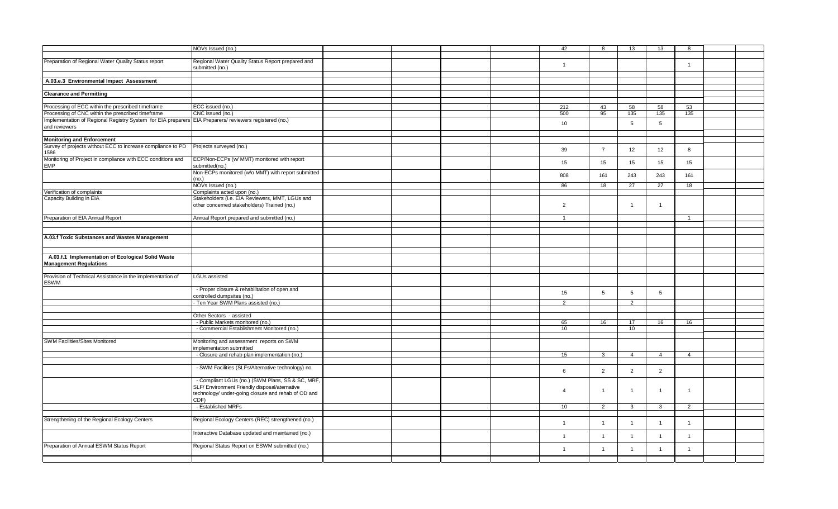|                                                                                                        | NOVs Issued (no.)                                                    |  |  | 42              | 8              | 13              | 13             | 8                                                                               |  |
|--------------------------------------------------------------------------------------------------------|----------------------------------------------------------------------|--|--|-----------------|----------------|-----------------|----------------|---------------------------------------------------------------------------------|--|
|                                                                                                        |                                                                      |  |  |                 |                |                 |                |                                                                                 |  |
| Preparation of Regional Water Quality Status report                                                    | Regional Water Quality Status Report prepared and<br>submitted (no.) |  |  | $\overline{1}$  |                |                 |                | $\overline{1}$                                                                  |  |
|                                                                                                        |                                                                      |  |  |                 |                |                 |                |                                                                                 |  |
| A.03.e.3 Environmental Impact Assessment                                                               |                                                                      |  |  |                 |                |                 |                |                                                                                 |  |
|                                                                                                        |                                                                      |  |  |                 |                |                 |                |                                                                                 |  |
| <b>Clearance and Permitting</b>                                                                        |                                                                      |  |  |                 |                |                 |                |                                                                                 |  |
|                                                                                                        |                                                                      |  |  |                 |                |                 |                |                                                                                 |  |
| Processing of ECC within the prescribed timeframe                                                      | ECC issued (no.)                                                     |  |  | 212             | 43             | 58              | 58             |                                                                                 |  |
| Processing of CNC within the prescribed timeframe                                                      | CNC issued (no.)                                                     |  |  | 500             | 95             | 135             | 135            | 135                                                                             |  |
| Implementation of Regional Registry System for EIA preparers EIA Preparers/ reviewers registered (no.) |                                                                      |  |  | 10              |                | 5               | 5              |                                                                                 |  |
| and reviewers                                                                                          |                                                                      |  |  |                 |                |                 |                |                                                                                 |  |
|                                                                                                        |                                                                      |  |  |                 |                |                 |                |                                                                                 |  |
| <b>Monitoring and Enforcement</b>                                                                      |                                                                      |  |  |                 |                |                 |                |                                                                                 |  |
| Survey of projects without ECC to increase compliance to PD                                            | Projects surveyed (no.)                                              |  |  | 39              | $\overline{7}$ | 12              | 12             |                                                                                 |  |
| 1586                                                                                                   |                                                                      |  |  |                 |                |                 |                |                                                                                 |  |
| Monitoring of Project in compliance with ECC conditions and                                            | ECP/Non-ECPs (w/ MMT) monitored with report                          |  |  | 15 <sub>1</sub> | 15             | 15              | 15             |                                                                                 |  |
| <b>EMP</b>                                                                                             | submitted(no.)                                                       |  |  |                 |                |                 |                |                                                                                 |  |
|                                                                                                        | Non-ECPs monitored (w/o MMT) with report submitted                   |  |  | 808             | 161            | 243             | 243            | 161                                                                             |  |
|                                                                                                        | (no.)<br>NOVs Issued (no.)                                           |  |  | 86              | 18             | 27              | 27             |                                                                                 |  |
| Verification of complaints                                                                             | Complaints acted upon (no.)                                          |  |  |                 |                |                 |                |                                                                                 |  |
| Capacity Building in EIA                                                                               | Stakeholders (i.e. EIA Reviewers, MMT, LGUs and                      |  |  |                 |                |                 |                |                                                                                 |  |
|                                                                                                        | other concerned stakeholders) Trained (no.)                          |  |  | 2               |                | $\overline{1}$  | $\overline{1}$ |                                                                                 |  |
|                                                                                                        |                                                                      |  |  |                 |                |                 |                |                                                                                 |  |
| Preparation of EIA Annual Report                                                                       | Annual Report prepared and submitted (no.)                           |  |  | $\overline{1}$  |                |                 |                | $\overline{1}$                                                                  |  |
|                                                                                                        |                                                                      |  |  |                 |                |                 |                |                                                                                 |  |
|                                                                                                        |                                                                      |  |  |                 |                |                 |                |                                                                                 |  |
| A.03.f Toxic Substances and Wastes Management                                                          |                                                                      |  |  |                 |                |                 |                |                                                                                 |  |
|                                                                                                        |                                                                      |  |  |                 |                |                 |                |                                                                                 |  |
|                                                                                                        |                                                                      |  |  |                 |                |                 |                |                                                                                 |  |
| A.03.f.1 Implementation of Ecological Solid Waste                                                      |                                                                      |  |  |                 |                |                 |                |                                                                                 |  |
| <b>Management Regulations</b>                                                                          |                                                                      |  |  |                 |                |                 |                |                                                                                 |  |
| Provision of Technical Assistance in the implementation of                                             | LGUs assisted                                                        |  |  |                 |                |                 |                |                                                                                 |  |
| <b>ESWM</b>                                                                                            |                                                                      |  |  |                 |                |                 |                |                                                                                 |  |
|                                                                                                        | - Proper closure & rehabilitation of open and                        |  |  |                 |                |                 |                |                                                                                 |  |
|                                                                                                        | controlled dumpsites (no.)                                           |  |  | 15              | 5              | $5\overline{5}$ | 5              |                                                                                 |  |
|                                                                                                        | Ten Year SWM Plans assisted (no.)                                    |  |  | 2               |                | 2               |                |                                                                                 |  |
|                                                                                                        |                                                                      |  |  |                 |                |                 |                |                                                                                 |  |
|                                                                                                        | Other Sectors - assisted                                             |  |  |                 |                |                 |                |                                                                                 |  |
|                                                                                                        | - Public Markets monitored (no.)                                     |  |  | 65              | 16             | 17              | 16             |                                                                                 |  |
|                                                                                                        | - Commercial Establishment Monitored (no.)                           |  |  | 10 <sup>°</sup> |                | 10              |                |                                                                                 |  |
|                                                                                                        |                                                                      |  |  |                 |                |                 |                |                                                                                 |  |
| SWM Facilities/Sites Monitored                                                                         | Monitoring and assessment reports on SWM                             |  |  |                 |                |                 |                |                                                                                 |  |
|                                                                                                        | mplementation submitted                                              |  |  |                 |                |                 |                |                                                                                 |  |
|                                                                                                        | - Closure and rehab plan implementation (no.)                        |  |  | 15              | $\mathbf{3}$   | $\overline{4}$  | $\overline{4}$ |                                                                                 |  |
|                                                                                                        | - SWM Facilities (SLFs/Alternative technology) no.                   |  |  |                 |                |                 |                |                                                                                 |  |
|                                                                                                        |                                                                      |  |  | 6               | 2              | 2               | 2              |                                                                                 |  |
|                                                                                                        | - Compliant LGUs (no.) (SWM Plans, SS & SC, MRF,                     |  |  |                 |                |                 |                |                                                                                 |  |
|                                                                                                        | SLF/ Environment Friendly disposal/aternative                        |  |  |                 |                |                 |                |                                                                                 |  |
|                                                                                                        | technology/ under-going closure and rehab of OD and                  |  |  | $\overline{4}$  | $\overline{1}$ | $\overline{1}$  | $\overline{1}$ |                                                                                 |  |
|                                                                                                        | CDF)                                                                 |  |  |                 |                |                 |                |                                                                                 |  |
|                                                                                                        | - Established MRFs                                                   |  |  | 10              | 2              | 3               | $\mathbf{3}$   | $\overline{2}$                                                                  |  |
|                                                                                                        |                                                                      |  |  |                 |                |                 |                |                                                                                 |  |
| Strengthening of the Regional Ecology Centers                                                          | Regional Ecology Centers (REC) strengthened (no.)                    |  |  | $\overline{1}$  | $\overline{1}$ | $\overline{1}$  | $\overline{1}$ | $\overline{1}$                                                                  |  |
|                                                                                                        |                                                                      |  |  |                 |                |                 |                |                                                                                 |  |
|                                                                                                        | Interactive Database updated and maintained (no.)                    |  |  | $\mathbf{1}$    | $\overline{1}$ | $\overline{1}$  | $\overline{1}$ | $\overline{1}$                                                                  |  |
| Preparation of Annual ESWM Status Report                                                               | Regional Status Report on ESWM submitted (no.)                       |  |  |                 |                |                 |                |                                                                                 |  |
|                                                                                                        |                                                                      |  |  | $\mathbf{1}$    | $\overline{1}$ | $\overline{1}$  | $\mathbf{1}$   | 53<br>8<br>15<br>18<br>16<br>$\overline{4}$<br>$\overline{1}$<br>$\overline{1}$ |  |
|                                                                                                        |                                                                      |  |  |                 |                |                 |                |                                                                                 |  |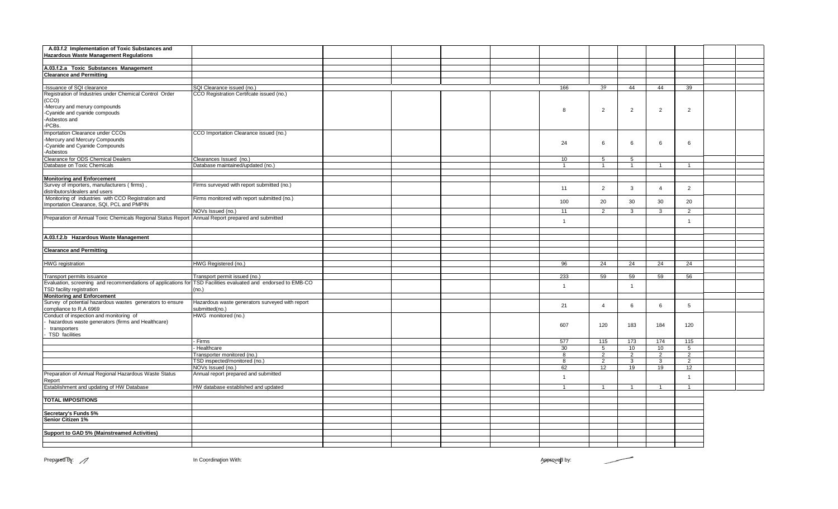| A.03.f.2 Implementation of Toxic Substances and               |                                                 |  |  |                |                |                |                |                |  |
|---------------------------------------------------------------|-------------------------------------------------|--|--|----------------|----------------|----------------|----------------|----------------|--|
| <b>Hazardous Waste Management Regulations</b>                 |                                                 |  |  |                |                |                |                |                |  |
|                                                               |                                                 |  |  |                |                |                |                |                |  |
| A.03.f.2.a Toxic Substances Management                        |                                                 |  |  |                |                |                |                |                |  |
| <b>Clearance and Permitting</b>                               |                                                 |  |  |                |                |                |                |                |  |
|                                                               |                                                 |  |  |                |                |                |                |                |  |
| -Issuance of SQI clearance                                    | SQI Clearance issued (no.)                      |  |  | 166            | 39             | 44             | 44             | 39             |  |
| Registration of Industries under Chemical Control Order       | CCO Registration Certifcate issued (no.)        |  |  |                |                |                |                |                |  |
| (CCO)                                                         |                                                 |  |  |                |                |                |                |                |  |
| -Mercury and merury compounds                                 |                                                 |  |  | 8              | $\overline{2}$ | $\overline{2}$ | $\overline{2}$ | $\overline{2}$ |  |
| -Cyanide and cyanide compouds                                 |                                                 |  |  |                |                |                |                |                |  |
| -Asbestos and                                                 |                                                 |  |  |                |                |                |                |                |  |
| -PCBs.                                                        |                                                 |  |  |                |                |                |                |                |  |
| Importation Clearance under CCOs                              | CCO Importation Clearance issued (no.)          |  |  |                |                |                |                |                |  |
| -Mercury and Mercury Compounds                                |                                                 |  |  |                |                |                |                |                |  |
| -Cyanide and Cyanide Compounds                                |                                                 |  |  | 24             | 6              | 6              | 6              | 6              |  |
| -Asbestos                                                     |                                                 |  |  |                |                |                |                |                |  |
| Clearance for ODS Chemical Dealers                            | Clearances Issued (no.)                         |  |  | 10             | 5              | 5              |                |                |  |
| Database on Toxic Chemicals                                   |                                                 |  |  | $\mathbf{1}$   |                | $\mathbf{1}$   |                | $\mathbf{1}$   |  |
|                                                               | Database maintained/updated (no.)               |  |  |                | $\overline{1}$ |                | $\mathbf{1}$   |                |  |
|                                                               |                                                 |  |  |                |                |                |                |                |  |
| <b>Monitoring and Enforcement</b>                             |                                                 |  |  |                |                |                |                |                |  |
| Survey of importers, manufacturers (firms),                   | Firms surveyed with report submitted (no.)      |  |  | 11             | 2              | $\mathbf{3}$   | $\overline{4}$ | $\overline{2}$ |  |
| distributors/dealers and users                                |                                                 |  |  |                |                |                |                |                |  |
| Monitoring of industries with CCO Registration and            | Firms monitored with report submitted (no.)     |  |  | 100            | 20             | 30             | 30             | 20             |  |
| Importation Clearance, SQI, PCL and PMPIN                     |                                                 |  |  |                |                |                |                |                |  |
|                                                               | NOVs Issued (no.)                               |  |  | 11             | 2              | 3              | 3              | 2              |  |
| Preparation of Annual Toxic Chemicals Regional Status Report  | Annual Report prepared and submitted            |  |  | $\mathbf{1}$   |                |                |                | $\overline{1}$ |  |
|                                                               |                                                 |  |  |                |                |                |                |                |  |
|                                                               |                                                 |  |  |                |                |                |                |                |  |
| A.03.f.2.b Hazardous Waste Management                         |                                                 |  |  |                |                |                |                |                |  |
|                                                               |                                                 |  |  |                |                |                |                |                |  |
| <b>Clearance and Permitting</b>                               |                                                 |  |  |                |                |                |                |                |  |
|                                                               |                                                 |  |  |                |                |                |                |                |  |
| <b>HWG</b> registration                                       | HWG Registered (no.)                            |  |  | 96             | 24             | 24             | 24             | 24             |  |
|                                                               |                                                 |  |  |                |                |                |                |                |  |
| Transport permits issuance                                    | Transport permit issued (no.)                   |  |  | 233            | 59             | 59             | 59             | 56             |  |
| Evaluation, screening and recommendations of applications for | TSD Facilities evaluated and endorsed to EMB-CO |  |  |                |                |                |                |                |  |
| TSD facility registration                                     | (no.)                                           |  |  | $\mathbf{1}$   |                | $\overline{1}$ |                |                |  |
|                                                               |                                                 |  |  |                |                |                |                |                |  |
| <b>Monitoring and Enforcement</b>                             |                                                 |  |  |                |                |                |                |                |  |
| Survey of potential hazardous wastes generators to ensure     | Hazardous waste generators surveyed with report |  |  | 21             | $\overline{4}$ | 6              | 6              | 5              |  |
| compliance to R.A 6969                                        | submitted(no.)                                  |  |  |                |                |                |                |                |  |
| Conduct of inspection and monitoring of                       | HWG monitored (no.)                             |  |  |                |                |                |                |                |  |
| hazardous waste generators (firms and Healthcare)             |                                                 |  |  | 607            | 120            | 183            | 184            | 120            |  |
| transporters                                                  |                                                 |  |  |                |                |                |                |                |  |
| <b>TSD</b> facilities                                         |                                                 |  |  |                |                |                |                |                |  |
|                                                               | - Firms                                         |  |  | 577            | 115            | 173            | 174            | 115            |  |
|                                                               | Healthcare                                      |  |  | 30             | 5              | 10             | 10             | 5              |  |
|                                                               | Transporter monitored (no.)                     |  |  | 8              | $\overline{2}$ | 2              | $\overline{2}$ | $\overline{2}$ |  |
|                                                               | TSD inspected/monitored (no.)                   |  |  | 8              | 2              | 3              | 3              | $\overline{2}$ |  |
|                                                               | NOVs Issued (no.)                               |  |  | 62             | 12             | 19             | 19             | 12             |  |
| Preparation of Annual Regional Hazardous Waste Status         | Annual report prepared and submitted            |  |  |                |                |                |                |                |  |
| Report                                                        |                                                 |  |  | $\overline{1}$ |                |                |                | $\overline{1}$ |  |
| Establishment and updating of HW Database                     | HW database established and updated             |  |  | $\mathbf{1}$   | $\overline{1}$ | $\mathbf{1}$   | $\mathbf{1}$   | $\mathbf{1}$   |  |
|                                                               |                                                 |  |  |                |                |                |                |                |  |
| <b>TOTAL IMPOSITIONS</b>                                      |                                                 |  |  |                |                |                |                |                |  |
|                                                               |                                                 |  |  |                |                |                |                |                |  |
| Secretary's Funds 5%                                          |                                                 |  |  |                |                |                |                |                |  |
| Senior Citizen 1%                                             |                                                 |  |  |                |                |                |                |                |  |
|                                                               |                                                 |  |  |                |                |                |                |                |  |
|                                                               |                                                 |  |  |                |                |                |                |                |  |
| Support to GAD 5% (Mainstreamed Activities)                   |                                                 |  |  |                |                |                |                |                |  |
|                                                               |                                                 |  |  |                |                |                |                |                |  |
|                                                               |                                                 |  |  |                |                |                |                |                |  |